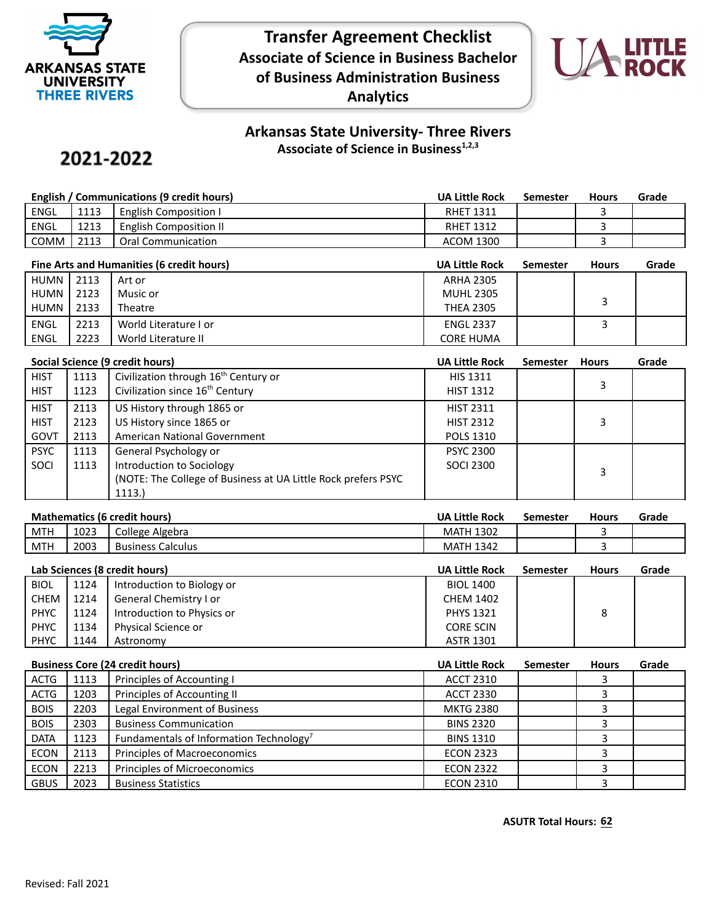

**Transfer Agreement Checklist Associate of Science in Business Bachelor of Business Administration Business Analytics**



## **Arkansas State University- Three Rivers Associate of Science in Business1,2,3**

## 2021-2022

| English / Communications (9 credit hours) |      | <b>UA Little Rock</b>         | Semester         | <b>Hours</b> | Grade |  |
|-------------------------------------------|------|-------------------------------|------------------|--------------|-------|--|
| <b>ENGL</b>                               | 1113 | English Composition I         | <b>RHET 1311</b> |              |       |  |
| <b>ENGL</b>                               | 1213 | <b>English Composition II</b> | <b>RHET 1312</b> |              |       |  |
| COMM                                      | 2113 | Oral Communication            | <b>ACOM 1300</b> |              |       |  |

| Fine Arts and Humanities (6 credit hours) |      | <b>UA Little Rock</b> | <b>Semester</b>  | <b>Hours</b> | Grade |  |
|-------------------------------------------|------|-----------------------|------------------|--------------|-------|--|
| HUMN                                      | 2113 | Art or                | <b>ARHA 2305</b> |              |       |  |
| HUMN I                                    | 2123 | Music or              | <b>MUHL 2305</b> |              |       |  |
| HUMN                                      | 2133 | Theatre               | <b>THEA 2305</b> |              |       |  |
| <b>ENGL</b>                               | 2213 | World Literature I or | <b>ENGL 2337</b> |              |       |  |
| ENGL                                      | 2223 | World Literature II   | <b>CORE HUMA</b> |              |       |  |

| Social Science (9 credit hours) |      | <b>UA Little Rock</b>                                         | <b>Semester</b>  | <b>Hours</b> | Grade |  |
|---------------------------------|------|---------------------------------------------------------------|------------------|--------------|-------|--|
| <b>HIST</b>                     | 1113 | Civilization through 16 <sup>th</sup> Century or              | <b>HIS 1311</b>  |              |       |  |
| <b>HIST</b>                     | 1123 | Civilization since 16 <sup>th</sup> Century                   | <b>HIST 1312</b> |              | 3     |  |
| <b>HIST</b>                     | 2113 | US History through 1865 or                                    | <b>HIST 2311</b> |              |       |  |
| <b>HIST</b>                     | 2123 | US History since 1865 or                                      | <b>HIST 2312</b> |              | 3     |  |
| GOVT                            | 2113 | American National Government                                  | <b>POLS 1310</b> |              |       |  |
| <b>PSYC</b>                     | 1113 | General Psychology or                                         | <b>PSYC 2300</b> |              |       |  |
| SOCI                            | 1113 | Introduction to Sociology                                     | <b>SOCI 2300</b> |              | 3     |  |
|                                 |      | (NOTE: The College of Business at UA Little Rock prefers PSYC |                  |              |       |  |
|                                 |      | 1113.                                                         |                  |              |       |  |

| <b>Mathematics (6 credit hours)</b> | <b>UA Little Rock</b> | Semester | <b>Hours</b> | Grade |
|-------------------------------------|-----------------------|----------|--------------|-------|
|-------------------------------------|-----------------------|----------|--------------|-------|

| MTH        | د ده د<br><b>LUZJ</b> | Algebra<br>College          | 1202<br><b>MAIH</b><br>13UZ |  |  |
|------------|-----------------------|-----------------------------|-----------------------------|--|--|
| <b>MTH</b> | 2003                  | Calculus<br><b>Business</b> | $\sim$ $\sim$<br>1342<br>МA |  |  |
|            |                       |                             |                             |  |  |

| Lab Sciences (8 credit hours) |      | <b>UA Little Rock</b>      | <b>Semester</b>  | <b>Hours</b> | Grade |  |
|-------------------------------|------|----------------------------|------------------|--------------|-------|--|
| <b>BIOL</b>                   | 1124 | Introduction to Biology or | <b>BIOL 1400</b> |              |       |  |
| <b>CHEM</b>                   | 1214 | General Chemistry I or     | <b>CHEM 1402</b> |              |       |  |
| <b>PHYC</b>                   | 1124 | Introduction to Physics or | <b>PHYS 1321</b> |              | 8     |  |
| <b>PHYC</b>                   | 1134 | Physical Science or        | <b>CORE SCIN</b> |              |       |  |
| <b>PHYC</b>                   | 1144 | Astronomy                  | <b>ASTR 1301</b> |              |       |  |

|             | <b>Business Core (24 credit hours)</b> |                                                     | <b>UA Little Rock</b> | Semester | <b>Hours</b> | Grade |
|-------------|----------------------------------------|-----------------------------------------------------|-----------------------|----------|--------------|-------|
| <b>ACTG</b> | 1113                                   | Principles of Accounting I                          | <b>ACCT 2310</b>      |          |              |       |
| <b>ACTG</b> | 1203                                   | Principles of Accounting II                         | <b>ACCT 2330</b>      |          |              |       |
| <b>BOIS</b> | 2203                                   | Legal Environment of Business                       | <b>MKTG 2380</b>      |          |              |       |
| <b>BOIS</b> | 2303                                   | <b>Business Communication</b>                       | <b>BINS 2320</b>      |          |              |       |
| <b>DATA</b> | 1123                                   | Fundamentals of Information Technology <sup>7</sup> | <b>BINS 1310</b>      |          |              |       |
| <b>ECON</b> | 2113                                   | Principles of Macroeconomics                        | <b>ECON 2323</b>      |          |              |       |
| <b>ECON</b> | 2213                                   | Principles of Microeconomics                        | <b>ECON 2322</b>      |          |              |       |
| <b>GBUS</b> | 2023                                   | <b>Business Statistics</b>                          | <b>ECON 2310</b>      |          |              |       |

**ASUTR Total Hours: 62**